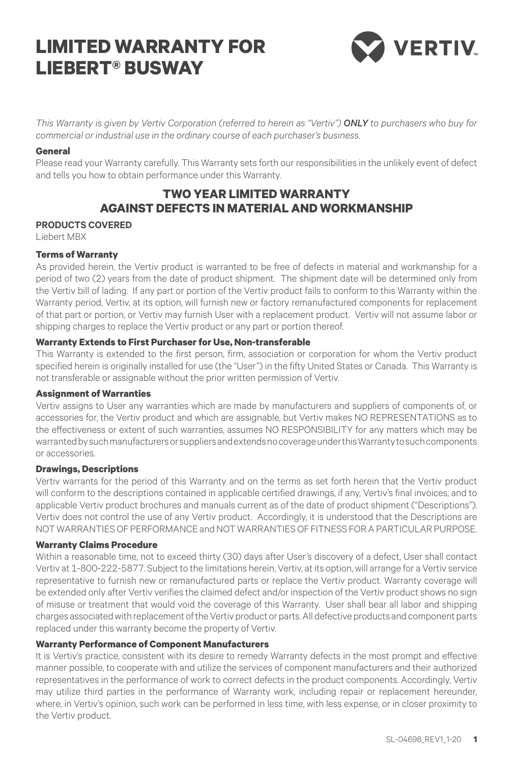# **LIMITED WARRANTY FOR LIEBERT® BUSWAY**



*This Warranty is given by Vertiv Corporation (referred to herein as "Vertiv") ONLY to purchasers who buy for commercial or industrial use in the ordinary course of each purchaser's business.*

#### **General**

Please read your Warranty carefully. This Warranty sets forth our responsibilities in the unlikely event of defect and tells you how to obtain performance under this Warranty.

## **TWO YEAR LIMITED WARRANTY AGAINST DEFECTS IN MATERIAL AND WORKMANSHIP**

#### **PRODUCTS COVERED**

Liebert MBX

### **Terms of Warranty**

As provided herein, the Vertiv product is warranted to be free of defects in material and workmanship for a period of two (2) years from the date of product shipment. The shipment date will be determined only from the Vertiv bill of lading. If any part or portion of the Vertiv product fails to conform to this Warranty within the Warranty period, Vertiv, at its option, will furnish new or factory remanufactured components for replacement of that part or portion, or Vertiv may furnish User with a replacement product. Vertiv will not assume labor or shipping charges to replace the Vertiv product or any part or portion thereof.

#### **Warranty Extends to First Purchaser for Use, Non-transferable**

This Warranty is extended to the first person, firm, association or corporation for whom the Vertiv product specified herein is originally installed for use (the "User") in the fifty United States or Canada. This Warranty is not transferable or assignable without the prior written permission of Vertiv.

#### **Assignment of Warranties**

Vertiv assigns to User any warranties which are made by manufacturers and suppliers of components of, or accessories for, the Vertiv product and which are assignable, but Vertiv makes NO REPRESENTATIONS as to the effectiveness or extent of such warranties, assumes NO RESPONSIBILITY for any matters which may be warranted by such manufacturers or suppliers and extends no coverage under this Warranty to such components or accessories.

#### **Drawings, Descriptions**

Vertiv warrants for the period of this Warranty and on the terms as set forth herein that the Vertiv product will conform to the descriptions contained in applicable certified drawings, if any, Vertiv's final invoices, and to applicable Vertiv product brochures and manuals current as of the date of product shipment ("Descriptions"). Vertiv does not control the use of any Vertiv product. Accordingly, it is understood that the Descriptions are NOT WARRANTIES OF PERFORMANCE and NOT WARRANTIES OF FITNESS FOR A PARTICULAR PURPOSE.

#### **Warranty Claims Procedure**

Within a reasonable time, not to exceed thirty (30) days after User's discovery of a defect, User shall contact Vertiv at 1-800-222-5877. Subject to the limitations herein, Vertiv, at its option, will arrange for a Vertiv service representative to furnish new or remanufactured parts or replace the Vertiv product. Warranty coverage will be extended only after Vertiv verifies the claimed defect and/or inspection of the Vertiv product shows no sign of misuse or treatment that would void the coverage of this Warranty. User shall bear all labor and shipping charges associated with replacement of the Vertiv product or parts. All defective products and component parts replaced under this warranty become the property of Vertiv.

#### **Warranty Performance of Component Manufacturers**

It is Vertiv's practice, consistent with its desire to remedy Warranty defects in the most prompt and effective manner possible, to cooperate with and utilize the services of component manufacturers and their authorized representatives in the performance of work to correct defects in the product components. Accordingly, Vertiv may utilize third parties in the performance of Warranty work, including repair or replacement hereunder, where, in Vertiv's opinion, such work can be performed in less time, with less expense, or in closer proximity to the Vertiv product.